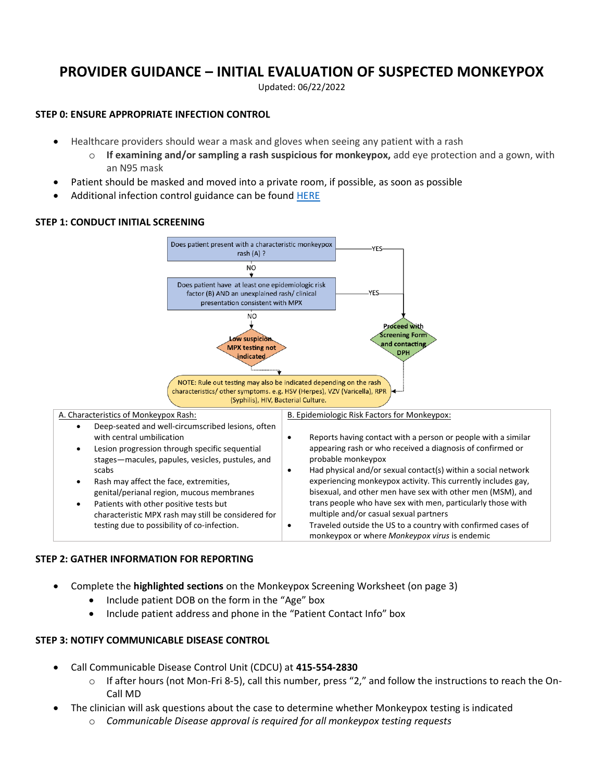# **PROVIDER GUIDANCE – INITIAL EVALUATION OF SUSPECTED MONKEYPOX**

Updated: 06/22/2022

#### **STEP 0: ENSURE APPROPRIATE INFECTION CONTROL**

- Healthcare providers should wear a mask and gloves when seeing any patient with a rash
	- o **If examining and/or sampling a rash suspicious for monkeypox,** add eye protection and a gown, with an N95 mask
- Patient should be masked and moved into a private room, if possible, as soon as possible
- Additional infection control guidance can be found [HERE](https://www.cdc.gov/poxvirus/monkeypox/clinicians/infection-control-healthcare.html)

### **STEP 1: CONDUCT INITIAL SCREENING**



#### **STEP 2: GATHER INFORMATION FOR REPORTING**

- Complete the **highlighted sections** on the Monkeypox Screening Worksheet (on page 3)
	- Include patient DOB on the form in the "Age" box
	- Include patient address and phone in the "Patient Contact Info" box

#### **STEP 3: NOTIFY COMMUNICABLE DISEASE CONTROL**

- Call Communicable Disease Control Unit (CDCU) at **415-554-2830**
	- $\circ$  If after hours (not Mon-Fri 8-5), call this number, press "2," and follow the instructions to reach the On-Call MD
- The clinician will ask questions about the case to determine whether Monkeypox testing is indicated
	- o *Communicable Disease approval is required for all monkeypox testing requests*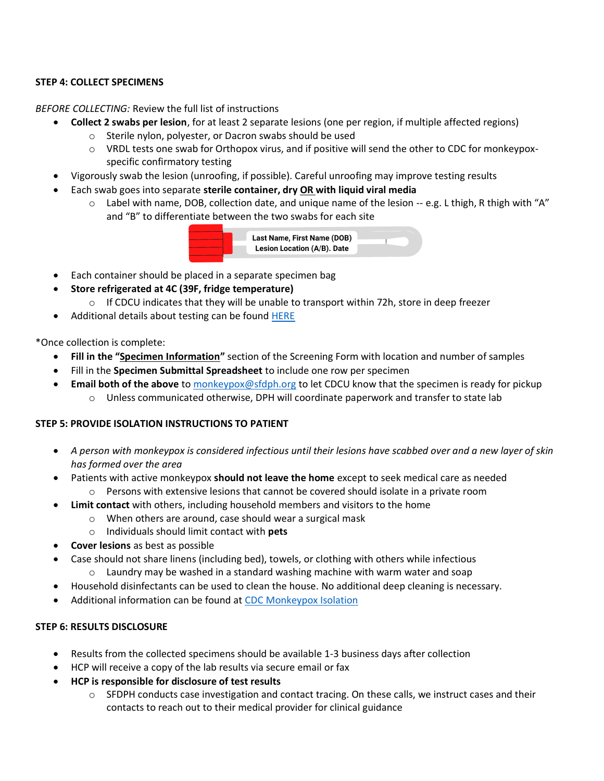## **STEP 4: COLLECT SPECIMENS**

#### *BEFORE COLLECTING:* Review the full list of instructions

- **Collect 2 swabs per lesion**, for at least 2 separate lesions (one per region, if multiple affected regions)
	- o Sterile nylon, polyester, or Dacron swabs should be used
	- $\circ$  VRDL tests one swab for Orthopox virus, and if positive will send the other to CDC for monkeypoxspecific confirmatory testing
- Vigorously swab the lesion (unroofing, if possible). Careful unroofing may improve testing results
- Each swab goes into separate **sterile container, dry OR with liquid viral media**
	- $\circ$  Label with name, DOB, collection date, and unique name of the lesion -- e.g. L thigh, R thigh with "A" and "B" to differentiate between the two swabs for each site



- Each container should be placed in a separate specimen bag
	- **Store refrigerated at 4C (39F, fridge temperature)**
		- $\circ$  If CDCU indicates that they will be unable to transport within 72h, store in deep freezer
- Additional details about testing can be found [HERE](https://www.sfcdcp.org/wp-content/uploads/2022/06/Monkeypox-PCR-SFDPH-FINAL-06.07.2022.pdf)

\*Once collection is complete:

- **Fill in the "Specimen Information"** section of the Screening Form with location and number of samples
- Fill in the **Specimen Submittal Spreadsheet** to include one row per specimen
- **Email both of the above** t[o monkeypox@sfdph.org](mailto:monkeypox@sfdph.org) to let CDCU know that the specimen is ready for pickup  $\circ$  Unless communicated otherwise, DPH will coordinate paperwork and transfer to state lab

#### **STEP 5: PROVIDE ISOLATION INSTRUCTIONS TO PATIENT**

- *A person with monkeypox is considered infectious until their lesions have scabbed over and a new layer of skin has formed over the area*
- Patients with active monkeypox **should not leave the home** except to seek medical care as needed
	- $\circ$  Persons with extensive lesions that cannot be covered should isolate in a private room
- **Limit contact** with others, including household members and visitors to the home
	- o When others are around, case should wear a surgical mask
	- o Individuals should limit contact with **pets**
- **Cover lesions** as best as possible
- Case should not share linens (including bed), towels, or clothing with others while infectious
	- o Laundry may be washed in a standard washing machine with warm water and soap
- Household disinfectants can be used to clean the house. No additional deep cleaning is necessary.
- Additional information can be found at [CDC Monkeypox Isolation](https://www.cdc.gov/poxvirus/monkeypox/clinicians/infection-control-home.html)

#### **STEP 6: RESULTS DISCLOSURE**

- Results from the collected specimens should be available 1-3 business days after collection
- HCP will receive a copy of the lab results via secure email or fax
- **HCP is responsible for disclosure of test results**
	- $\circ$  SFDPH conducts case investigation and contact tracing. On these calls, we instruct cases and their contacts to reach out to their medical provider for clinical guidance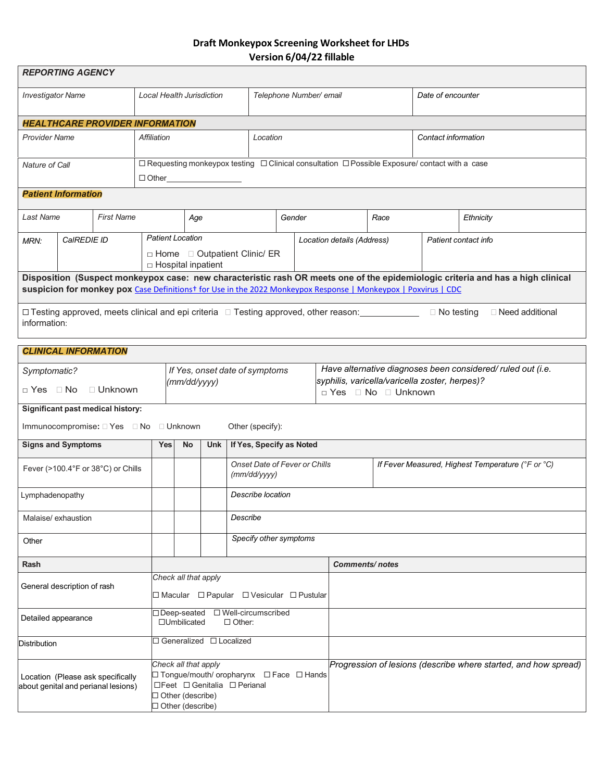# **Draft Monkeypox Screening Worksheet for LHDs Version 6/04/22 fillable**

| <b>REPORTING AGENCY</b>                                                                                                                                                                                                                           |             |                                                                                                                         |                                  |                                                                                                                                               |            |                                               |                         |  |                                                                        |                                                    |                   |                                                                 |
|---------------------------------------------------------------------------------------------------------------------------------------------------------------------------------------------------------------------------------------------------|-------------|-------------------------------------------------------------------------------------------------------------------------|----------------------------------|-----------------------------------------------------------------------------------------------------------------------------------------------|------------|-----------------------------------------------|-------------------------|--|------------------------------------------------------------------------|----------------------------------------------------|-------------------|-----------------------------------------------------------------|
| <b>Investigator Name</b>                                                                                                                                                                                                                          |             |                                                                                                                         | <b>Local Health Jurisdiction</b> |                                                                                                                                               |            |                                               | Telephone Number/ email |  |                                                                        |                                                    | Date of encounter |                                                                 |
|                                                                                                                                                                                                                                                   |             | <b>HEALTHCARE PROVIDER INFORMATION</b>                                                                                  |                                  |                                                                                                                                               |            |                                               |                         |  |                                                                        |                                                    |                   |                                                                 |
| Provider Name                                                                                                                                                                                                                                     | Affiliation |                                                                                                                         |                                  |                                                                                                                                               | Location   |                                               |                         |  | Contact information                                                    |                                                    |                   |                                                                 |
| Nature of Call                                                                                                                                                                                                                                    |             | □ Requesting monkeypox testing □ Clinical consultation □ Possible Exposure/ contact with a case<br>$\Box$ $\Box$ $\Box$ |                                  |                                                                                                                                               |            |                                               |                         |  |                                                                        |                                                    |                   |                                                                 |
| <b>Patient Information</b>                                                                                                                                                                                                                        |             |                                                                                                                         |                                  |                                                                                                                                               |            |                                               |                         |  |                                                                        |                                                    |                   |                                                                 |
| Last Name<br><b>First Name</b>                                                                                                                                                                                                                    |             |                                                                                                                         | Age                              |                                                                                                                                               |            | Gender                                        |                         |  | Race                                                                   |                                                    | Ethnicity         |                                                                 |
| CaIREDIE ID<br>MRN:                                                                                                                                                                                                                               |             |                                                                                                                         |                                  | <b>Patient Location</b><br>□ Home □ Outpatient Clinic/ ER<br>$\Box$ Hospital inpatient                                                        |            |                                               |                         |  |                                                                        | Patient contact info<br>Location details (Address) |                   |                                                                 |
| Disposition (Suspect monkeypox case: new characteristic rash OR meets one of the epidemiologic criteria and has a high clinical<br>suspicion for monkey pox Case Definitionst for Use in the 2022 Monkeypox Response   Monkeypox   Poxvirus   CDC |             |                                                                                                                         |                                  |                                                                                                                                               |            |                                               |                         |  |                                                                        |                                                    |                   |                                                                 |
| □ Testing approved, meets clinical and epi criteria □ Testing approved, other reason:<br>$\Box$ No testing<br>□ Need additional<br>information:                                                                                                   |             |                                                                                                                         |                                  |                                                                                                                                               |            |                                               |                         |  |                                                                        |                                                    |                   |                                                                 |
| <b>CLINICAL INFORMATION</b>                                                                                                                                                                                                                       |             |                                                                                                                         |                                  |                                                                                                                                               |            |                                               |                         |  |                                                                        |                                                    |                   |                                                                 |
| Symptomatic?                                                                                                                                                                                                                                      |             |                                                                                                                         |                                  |                                                                                                                                               |            | If Yes, onset date of symptoms                |                         |  |                                                                        |                                                    |                   | Have alternative diagnoses been considered/ ruled out (i.e.     |
| □ Yes □ No                                                                                                                                                                                                                                        |             | $\Box$ Unknown                                                                                                          |                                  | (mm/dd/yyyy)                                                                                                                                  |            |                                               |                         |  | syphilis, varicella/varicella zoster, herpes)?<br>□ Yes □ No □ Unknown |                                                    |                   |                                                                 |
|                                                                                                                                                                                                                                                   |             | Significant past medical history:                                                                                       |                                  |                                                                                                                                               |            |                                               |                         |  |                                                                        |                                                    |                   |                                                                 |
| Immunocompromise: □ Yes □ No □ Unknown<br>Other (specify):                                                                                                                                                                                        |             |                                                                                                                         |                                  |                                                                                                                                               |            |                                               |                         |  |                                                                        |                                                    |                   |                                                                 |
| <b>Signs and Symptoms</b>                                                                                                                                                                                                                         |             |                                                                                                                         | <b>Yes</b>                       | <b>No</b>                                                                                                                                     | <b>Unk</b> | If Yes, Specify as Noted                      |                         |  |                                                                        |                                                    |                   |                                                                 |
| Fever (>100.4°F or 38°C) or Chills                                                                                                                                                                                                                |             |                                                                                                                         |                                  |                                                                                                                                               |            | Onset Date of Fever or Chills<br>(mm/dd/yyyy) |                         |  |                                                                        | If Fever Measured, Highest Temperature (°F or °C)  |                   |                                                                 |
| Lymphadenopathy                                                                                                                                                                                                                                   |             |                                                                                                                         |                                  |                                                                                                                                               |            | Describe location                             |                         |  |                                                                        |                                                    |                   |                                                                 |
| Malaise/ exhaustion                                                                                                                                                                                                                               |             |                                                                                                                         |                                  |                                                                                                                                               |            | Describe                                      |                         |  |                                                                        |                                                    |                   |                                                                 |
| Other                                                                                                                                                                                                                                             |             |                                                                                                                         |                                  |                                                                                                                                               |            | Specify other symptoms                        |                         |  |                                                                        |                                                    |                   |                                                                 |
| Rash                                                                                                                                                                                                                                              |             |                                                                                                                         |                                  |                                                                                                                                               |            |                                               |                         |  | <b>Comments/notes</b>                                                  |                                                    |                   |                                                                 |
| General description of rash                                                                                                                                                                                                                       |             |                                                                                                                         |                                  | Check all that apply<br>$\Box$ Macular $\Box$ Papular $\Box$ Vesicular $\Box$ Pustular                                                        |            |                                               |                         |  |                                                                        |                                                    |                   |                                                                 |
| Detailed appearance                                                                                                                                                                                                                               |             |                                                                                                                         |                                  | □ Well-circumscribed<br>□Deep-seated<br>$\Box$ Umbilicated<br>$\Box$ Other:                                                                   |            |                                               |                         |  |                                                                        |                                                    |                   |                                                                 |
| Distribution                                                                                                                                                                                                                                      |             |                                                                                                                         |                                  | □ Generalized □ Localized                                                                                                                     |            |                                               |                         |  |                                                                        |                                                    |                   |                                                                 |
| Location (Please ask specifically<br>about genital and perianal lesions)                                                                                                                                                                          |             |                                                                                                                         |                                  | Check all that apply<br>□ Tongue/mouth/ oropharynx □ Face □ Hands<br>□Feet □ Genitalia □ Perianal<br>□ Other (describe)<br>□ Other (describe) |            |                                               |                         |  |                                                                        |                                                    |                   | Progression of lesions (describe where started, and how spread) |